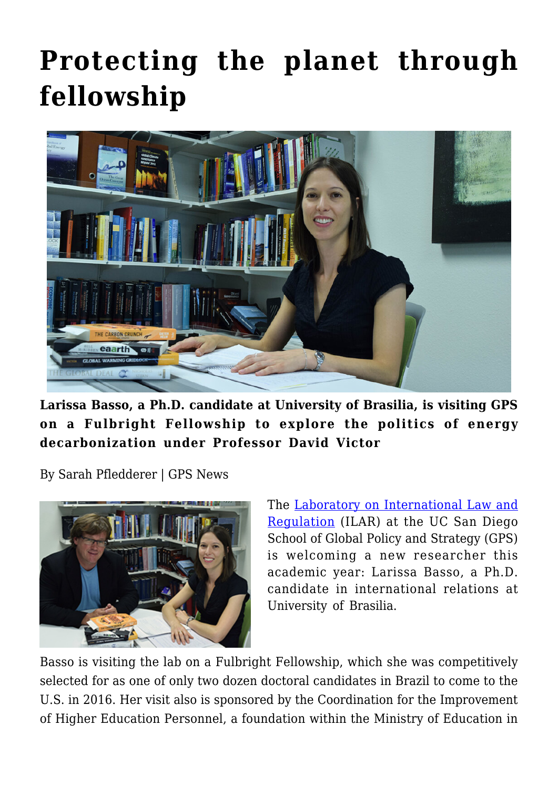## **[Protecting the planet through](https://gpsnews.ucsd.edu/protecting-the-planet-through-fellowship/) [fellowship](https://gpsnews.ucsd.edu/protecting-the-planet-through-fellowship/)**



**Larissa Basso, a Ph.D. candidate at University of Brasilia, is visiting GPS on a Fulbright Fellowship to explore the politics of energy decarbonization under Professor David Victor**

By Sarah Pfledderer | GPS News



The [Laboratory on International Law and](http://ilar.ucsd.edu/) [Regulation](http://ilar.ucsd.edu/) (ILAR) at the UC San Diego School of Global Policy and Strategy (GPS) is welcoming a new researcher this academic year: Larissa Basso, a Ph.D. candidate in international relations at University of Brasilia.

Basso is visiting the lab on a Fulbright Fellowship, which she was competitively selected for as one of only two dozen doctoral candidates in Brazil to come to the U.S. in 2016. Her visit also is sponsored by the Coordination for the Improvement of Higher Education Personnel, a foundation within the Ministry of Education in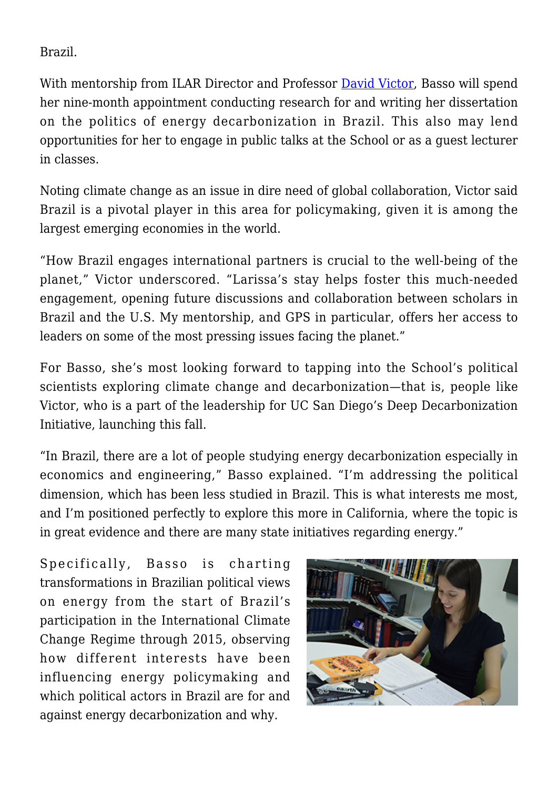Brazil.

With mentorship from ILAR Director and Professor [David Victor,](https://gps.ucsd.edu/faculty-directory/david-victor.html) Basso will spend her nine-month appointment conducting research for and writing her dissertation on the politics of energy decarbonization in Brazil. This also may lend opportunities for her to engage in public talks at the School or as a guest lecturer in classes.

Noting climate change as an issue in dire need of global collaboration, Victor said Brazil is a pivotal player in this area for policymaking, given it is among the largest emerging economies in the world.

"How Brazil engages international partners is crucial to the well-being of the planet," Victor underscored. "Larissa's stay helps foster this much-needed engagement, opening future discussions and collaboration between scholars in Brazil and the U.S. My mentorship, and GPS in particular, offers her access to leaders on some of the most pressing issues facing the planet."

For Basso, she's most looking forward to tapping into the School's political scientists exploring climate change and decarbonization—that is, people like Victor, who is a part of the leadership for UC San Diego's Deep Decarbonization Initiative, launching this fall.

"In Brazil, there are a lot of people studying energy decarbonization especially in economics and engineering," Basso explained. "I'm addressing the political dimension, which has been less studied in Brazil. This is what interests me most, and I'm positioned perfectly to explore this more in California, where the topic is in great evidence and there are many state initiatives regarding energy."

Specifically, Basso is charting transformations in Brazilian political views on energy from the start of Brazil's participation in the International Climate Change Regime through 2015, observing how different interests have been influencing energy policymaking and which political actors in Brazil are for and against energy decarbonization and why.